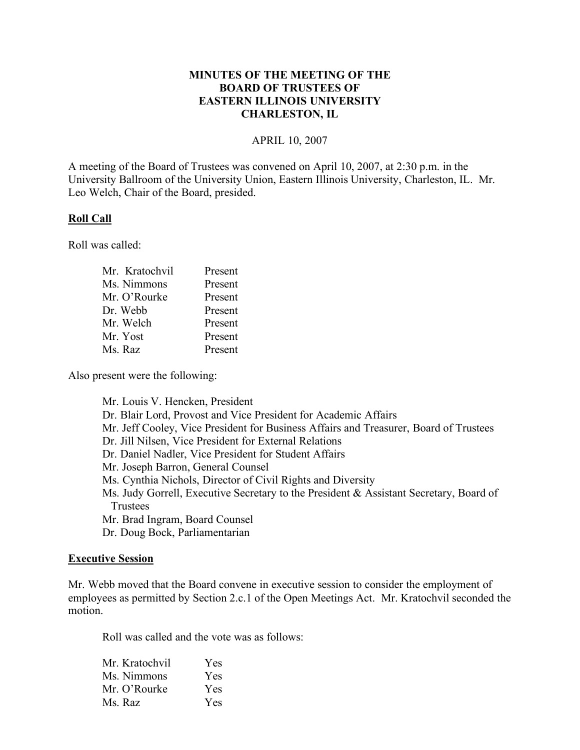## **MINUTES OF THE MEETING OF THE BOARD OF TRUSTEES OF EASTERN ILLINOIS UNIVERSITY CHARLESTON, IL**

#### APRIL 10, 2007

A meeting of the Board of Trustees was convened on April 10, 2007, at 2:30 p.m. in the University Ballroom of the University Union, Eastern Illinois University, Charleston, IL. Mr. Leo Welch, Chair of the Board, presided.

#### **Roll Call**

Roll was called:

| Mr. Kratochvil | Present |
|----------------|---------|
| Ms. Nimmons    | Present |
| Mr. O'Rourke   | Present |
| Dr. Webb       | Present |
| Mr. Welch      | Present |
| Mr. Yost       | Present |
| Ms. Raz        | Present |

Also present were the following:

Mr. Louis V. Hencken, President Dr. Blair Lord, Provost and Vice President for Academic Affairs Mr. Jeff Cooley, Vice President for Business Affairs and Treasurer, Board of Trustees Dr. Jill Nilsen, Vice President for External Relations Dr. Daniel Nadler, Vice President for Student Affairs Mr. Joseph Barron, General Counsel Ms. Cynthia Nichols, Director of Civil Rights and Diversity Ms. Judy Gorrell, Executive Secretary to the President & Assistant Secretary, Board of Trustees Mr. Brad Ingram, Board Counsel Dr. Doug Bock, Parliamentarian

### **Executive Session**

Mr. Webb moved that the Board convene in executive session to consider the employment of employees as permitted by Section 2.c.1 of the Open Meetings Act. Mr. Kratochvil seconded the motion.

Roll was called and the vote was as follows:

| Yes |
|-----|
| Yes |
| Yes |
| Yes |
|     |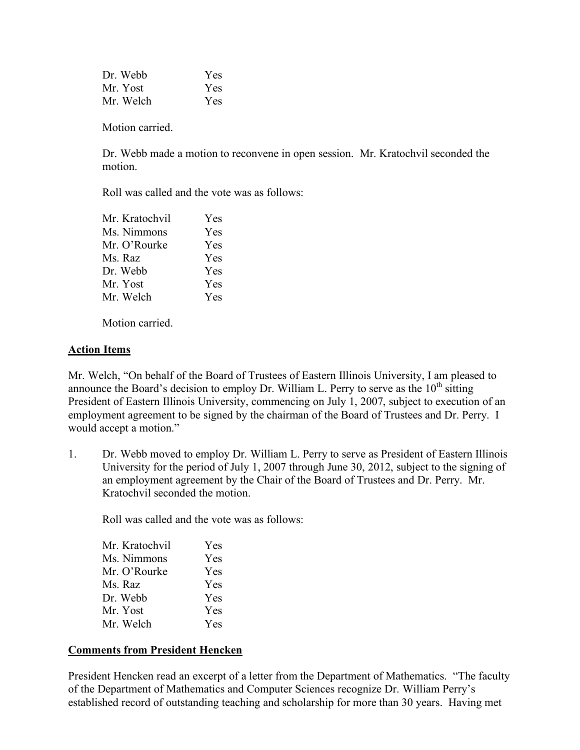| Dr. Webb  | Yes |
|-----------|-----|
| Mr. Yost  | Yes |
| Mr. Welch | Yes |

Motion carried.

Dr. Webb made a motion to reconvene in open session. Mr. Kratochvil seconded the motion.

Roll was called and the vote was as follows:

| Mr. Kratochvil | Yes        |
|----------------|------------|
| Ms. Nimmons    | Yes        |
| Mr. O'Rourke   | Yes        |
| Ms. Raz        | Yes        |
| Dr. Webb       | Yes        |
| Mr. Yost       | <b>Yes</b> |
| Mr. Welch      | Yes        |
|                |            |

Motion carried.

### **Action Items**

Mr. Welch, "On behalf of the Board of Trustees of Eastern Illinois University, I am pleased to announce the Board's decision to employ Dr. William L. Perry to serve as the  $10<sup>th</sup>$  sitting President of Eastern Illinois University, commencing on July 1, 2007, subject to execution of an employment agreement to be signed by the chairman of the Board of Trustees and Dr. Perry. I would accept a motion."

1. Dr. Webb moved to employ Dr. William L. Perry to serve as President of Eastern Illinois University for the period of July 1, 2007 through June 30, 2012, subject to the signing of an employment agreement by the Chair of the Board of Trustees and Dr. Perry. Mr. Kratochvil seconded the motion.

Roll was called and the vote was as follows:

| Mr. Kratochvil | Yes |
|----------------|-----|
| Ms. Nimmons    | Yes |
| Mr. O'Rourke   | Yes |
| Ms. Raz        | Yes |
| Dr. Webb       | Yes |
| Mr. Yost       | Yes |
| Mr. Welch      | Yes |

### **Comments from President Hencken**

President Hencken read an excerpt of a letter from the Department of Mathematics. "The faculty of the Department of Mathematics and Computer Sciences recognize Dr. William Perry's established record of outstanding teaching and scholarship for more than 30 years. Having met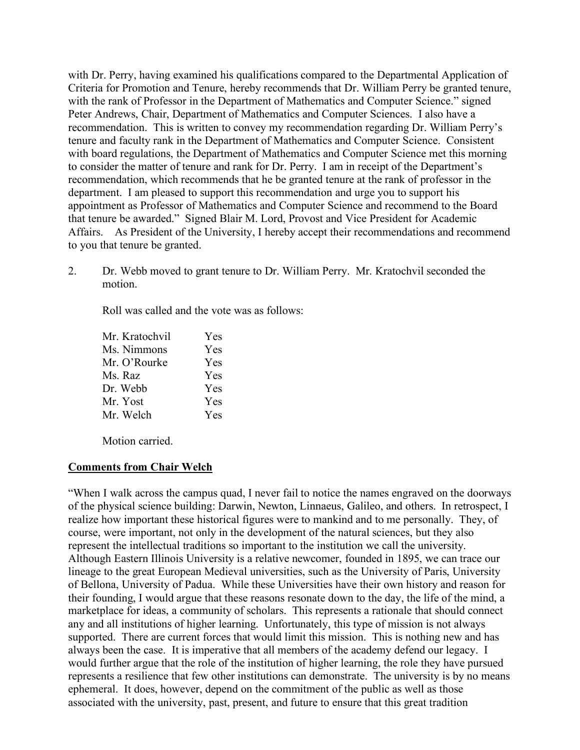with Dr. Perry, having examined his qualifications compared to the Departmental Application of Criteria for Promotion and Tenure, hereby recommends that Dr. William Perry be granted tenure, with the rank of Professor in the Department of Mathematics and Computer Science." signed Peter Andrews, Chair, Department of Mathematics and Computer Sciences. I also have a recommendation. This is written to convey my recommendation regarding Dr. William Perry's tenure and faculty rank in the Department of Mathematics and Computer Science. Consistent with board regulations, the Department of Mathematics and Computer Science met this morning to consider the matter of tenure and rank for Dr. Perry. I am in receipt of the Department's recommendation, which recommends that he be granted tenure at the rank of professor in the department. I am pleased to support this recommendation and urge you to support his appointment as Professor of Mathematics and Computer Science and recommend to the Board that tenure be awarded." Signed Blair M. Lord, Provost and Vice President for Academic Affairs. As President of the University, I hereby accept their recommendations and recommend to you that tenure be granted.

2. Dr. Webb moved to grant tenure to Dr. William Perry. Mr. Kratochvil seconded the motion.

Roll was called and the vote was as follows:

| Mr. Kratochvil | <b>Yes</b> |
|----------------|------------|
| Ms. Nimmons    | <b>Yes</b> |
| Mr. O'Rourke   | Yes        |
| Ms. Raz        | Yes        |
| Dr. Webb       | <b>Yes</b> |
| Mr. Yost       | Yes        |
| Mr. Welch      | Yes        |

Motion carried.

### **Comments from Chair Welch**

"When I walk across the campus quad, I never fail to notice the names engraved on the doorways of the physical science building: Darwin, Newton, Linnaeus, Galileo, and others. In retrospect, I realize how important these historical figures were to mankind and to me personally. They, of course, were important, not only in the development of the natural sciences, but they also represent the intellectual traditions so important to the institution we call the university. Although Eastern Illinois University is a relative newcomer, founded in 1895, we can trace our lineage to the great European Medieval universities, such as the University of Paris, University of Bellona, University of Padua. While these Universities have their own history and reason for their founding, I would argue that these reasons resonate down to the day, the life of the mind, a marketplace for ideas, a community of scholars. This represents a rationale that should connect any and all institutions of higher learning. Unfortunately, this type of mission is not always supported. There are current forces that would limit this mission. This is nothing new and has always been the case. It is imperative that all members of the academy defend our legacy. I would further argue that the role of the institution of higher learning, the role they have pursued represents a resilience that few other institutions can demonstrate. The university is by no means ephemeral. It does, however, depend on the commitment of the public as well as those associated with the university, past, present, and future to ensure that this great tradition